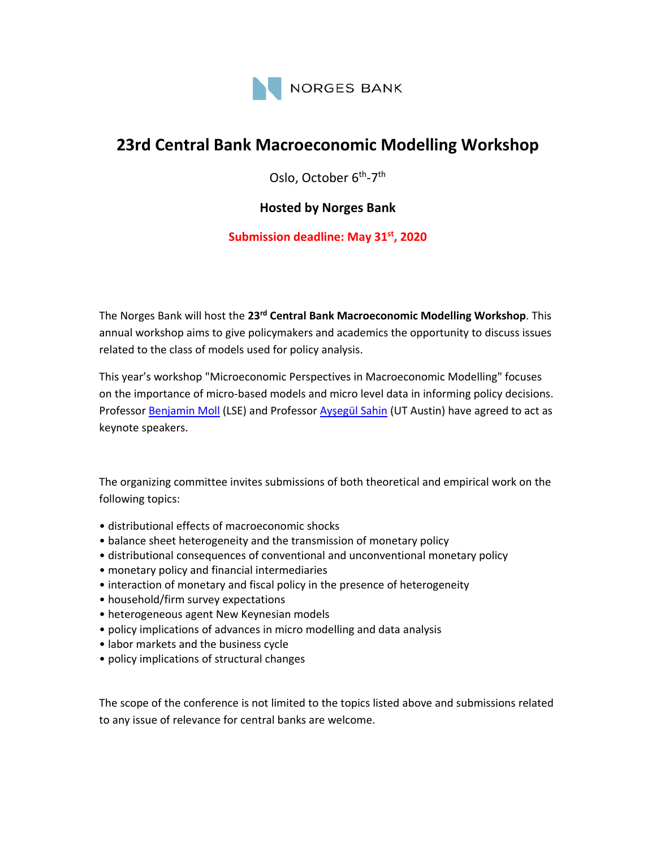

# **23rd Central Bank Macroeconomic Modelling Workshop**

Oslo, October 6<sup>th</sup>-7<sup>th</sup>

## **Hosted by Norges Bank**

### **Submission deadline: May 31st, 2020**

The Norges Bank will host the **23rd Central Bank Macroeconomic Modelling Workshop**. This annual workshop aims to give policymakers and academics the opportunity to discuss issues related to the class of models used for policy analysis.

This year's workshop "Microeconomic Perspectives in Macroeconomic Modelling" focuses on the importance of micro‐based models and micro level data in informing policy decisions. Professor Benjamin Moll (LSE) and Professor Ayşegül Sahin (UT Austin) have agreed to act as keynote speakers.

The organizing committee invites submissions of both theoretical and empirical work on the following topics:

- distributional effects of macroeconomic shocks
- balance sheet heterogeneity and the transmission of monetary policy
- distributional consequences of conventional and unconventional monetary policy
- monetary policy and financial intermediaries
- interaction of monetary and fiscal policy in the presence of heterogeneity
- household/firm survey expectations
- heterogeneous agent New Keynesian models
- policy implications of advances in micro modelling and data analysis
- labor markets and the business cycle
- policy implications of structural changes

The scope of the conference is not limited to the topics listed above and submissions related to any issue of relevance for central banks are welcome.